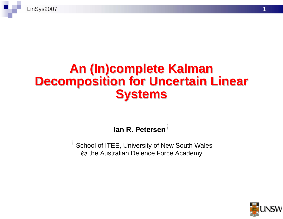

# **An (In)complete Kalman Decomposition for Uncertain Linear Systems**

### **Ian R. Petersen**†

<sup>†</sup> School of ITEE, University of New South Wales @ the Australian Defence Force Academy

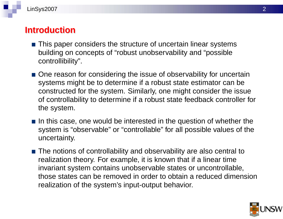## **Introduction**

- **This paper considers the structure of uncertain linear systems** building on concepts of "robust unobservability and "possible controllibility".
- One reason for considering the issue of observability for uncertain systems might be to determine if a robust state estimator can be constructed for the system. Similarly, one might consider the issue of controllability to determine if a robust state feedback controller for the system.
- In this case, one would be interested in the question of whether the system is "observable" or "controllable" for all possible values of the uncertainty.
- The notions of controllability and observability are also central to realization theory. For example, it is known that if a linear time invariant system contains unobservable states or uncontrollable, those states can be removed in order to obtain a reduced dimension realization of the system's input-output behavior.

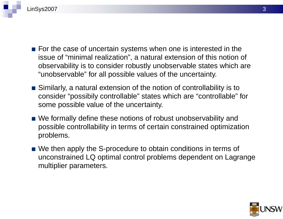

- For the case of uncertain systems when one is interested in the issue of "minimal realization", a natural extension of this notion of observability is to consider robustly unobservable states which are "unobservable" for all possible values of the uncertainty.
- Similarly, a natural extension of the notion of controllability is to consider "possibily controllable" states which are "controllable" for some possible value of the uncertainty.
- We formally define these notions of robust unobservability and possible controllability in terms of certain constrained optimization problems.
- We then apply the S-procedure to obtain conditions in terms of unconstrained LQ optimal control problems dependent on Lagrange multiplier parameters.

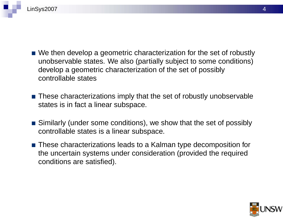

- We then develop a geometric characterization for the set of robustly unobservable states. We also (partially subject to some conditions) develop a geometric characterization of the set of possibly controllable states
- These characterizations imply that the set of robustly unobservable states is in fact a linear subspace.
- Similarly (under some conditions), we show that the set of possibly controllable states is a linear subspace.
- These characterizations leads to a Kalman type decomposition for the uncertain systems under consideration (provided the required conditions are satisfied).

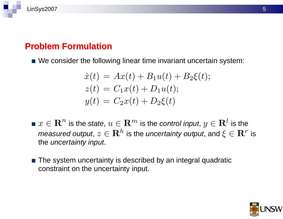### **Problem Formulation**

■ We consider the following linear time invariant uncertain system:

$$
\dot{x}(t) = Ax(t) + B_1 u(t) + B_2 \xi(t);
$$
  
\n
$$
z(t) = C_1 x(t) + D_1 u(t);
$$
  
\n
$$
y(t) = C_2 x(t) + D_2 \xi(t)
$$

- $x\in \mathbf{R}^n$  is the *state,*  $u\in \mathbf{R}^m$  *is the control input,*  $y\in \mathbf{R}^l$  *is the* measured output,  $z \in \mathbf{R}^h$  is the uncertainty output, and  $\xi \in \mathbf{R}^r$  is the uncertainty input.
- The system uncertainty is described by an integral quadratic constraint on the uncertainty input.

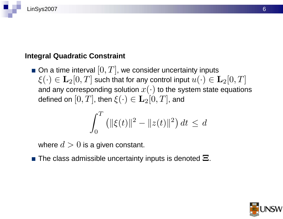

#### **Integral Quadratic Constraint**

 $\blacksquare$  On a time interval  $[0, T]$ , we consider uncertainty inputs  $\xi(\cdot) \in \mathbf{L}_2[0,T]$  such that for any control input  $u(\cdot) \in \mathbf{L}_2[0,T]$ and any corresponding solution  $x(\cdot)$  to the system state equations defined on  $[0, T]$ , then  $\xi(\cdot) \in \mathbf{L}_2[0, T]$ , and

$$
\int_0^T \left( ||\xi(t)||^2 - ||z(t)||^2 \right) dt \le d
$$

where  $d > 0$  is a given constant.

The class admissible uncertainty inputs is denoted  $\Xi$ .

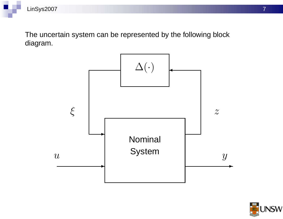The uncertain system can be represented by the following block diagram.



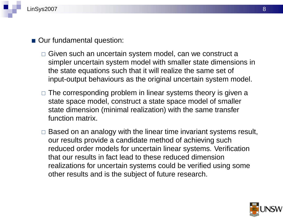#### Our fundamental question:

- □ Given such an uncertain system model, can we construct a simpler uncertain system model with smaller state dimensions in the state equations such that it will realize the same set of input-output behaviours as the original uncertain system model.
- $\Box$  The corresponding problem in linear systems theory is given a state space model, construct a state space model of smaller state dimension (minimal realization) with the same transfer function matrix.
- $\Box$  Based on an analogy with the linear time invariant systems result, our results provide a candidate method of achieving such reduced order models for uncertain linear systems. Verification that our results in fact lead to these reduced dimension realizations for uncertain systems could be verified using some other results and is the subject of future research.

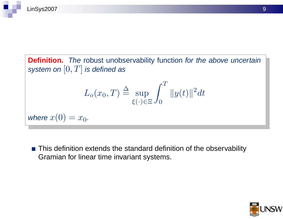**Definition.** The robust unobservability function for the above uncertain system on  $[0, T]$  is defined as

$$
L_o(x_0, T) \stackrel{\Delta}{=} \sup_{\xi(\cdot) \in \Xi} \int_0^T \|y(t)\|^2 dt
$$

where  $x(0) = x_0$ .

■ This definition extends the standard definition of the observability Gramian for linear time invariant systems.

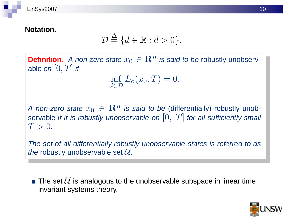#### **Notation.**

$$
\mathcal{D} \stackrel{\Delta}{=} \{d \in \mathbb{R} : d > 0\}.
$$

**Definition.** A non-zero state  $x_0 \in \mathbb{R}^n$  is said to be robustly unobservable on  $[0, T]$  if

> inf  $d \in \mathcal{D}$  $L_o(x_0, T) = 0.$

A non-zero state  $x_0 \in \mathbb{R}^n$  is said to be (differentially) robustly unobservable if it is robustly unobservable on  $[0, T]$  for all sufficiently small  $T>0$ .

The set of all differentially robustly unobservable states is referred to as the robustly unobservable set  $\mathcal{U}$ .

The set  $\mathcal U$  is analogous to the unobservable subspace in linear time invariant systems theory.

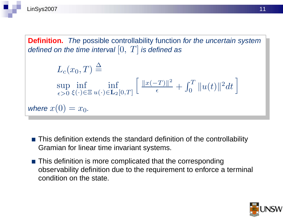**Definition.** The possible controllability function for the uncertain system defined on the time interval  $[0, T]$  is defined as

$$
L_c(x_0, T) \stackrel{\Delta}{=} \sup_{\epsilon > 0} \inf_{\xi(\cdot) \in \Xi} \inf_{u(\cdot) \in \mathbf{L}_2[0, T]} \left[ \frac{\|x(-T)\|^2}{\epsilon} + \int_0^T \|u(t)\|^2 dt \right]
$$
  
where  $x(0) = x_0$ .

- This definition extends the standard definition of the controllability Gramian for linear time invariant systems.
- **This definition is more complicated that the corresponding** observability definition due to the requirement to enforce a terminal condition on the state.

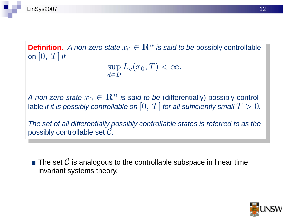**Definition.** A non-zero state  $x_0 \in \mathbb{R}^n$  is said to be possibly controllable on  $[0, T]$  if

> $\sup L_c(x_0,T) < \infty.$  $d \in \mathcal{D}$

A non-zero state  $x_0 \in \mathbb{R}^n$  is said to be (differentially) possibly controllable if it is possibly controllable on  $[0, T]$  for all sufficiently small  $T > 0$ .

The set of all differentially possibly controllable states is referred to as the possibly controllable set  $\mathcal{C}$ .

 $\blacksquare$  The set  $\mathcal C$  is analogous to the controllable subspace in linear time invariant systems theory.

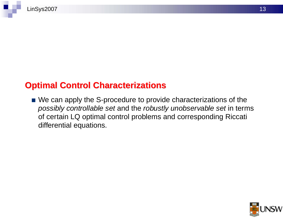# **Optimal Control Characterizations**

■ We can apply the S-procedure to provide characterizations of the possibly controllable set and the robustly unobservable set in terms of certain LQ optimal control problems and corresponding Riccati differential equations.

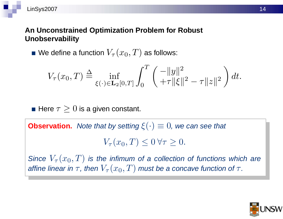#### **An Unconstrained Optimization Problem for Robust Unobservability**

We define a function  $V_\tau(x_0,T)$  as follows:

$$
V_{\tau}(x_0, T) \stackrel{\Delta}{=} \inf_{\xi(\cdot) \in \mathbf{L}_2[0, T]} \int_0^T \left( \frac{-\|y\|^2}{+\tau \|\xi\|^2} - \tau \|z\|^2 \right) dt.
$$

Here  $\tau \geq 0$  is a given constant.

**Observation.** Note that by setting  $\xi(\cdot) \equiv 0$ , we can see that

 $V_\tau(x_0,T) \leq 0 \,\forall \tau \geq 0.$ 

Since  $V_{\tau}(x_0,T)$  is the infimum of a collection of functions which are affine linear in  $\tau$ , then  $V_\tau(x_0,T)$  must be a concave function of  $\tau$ .

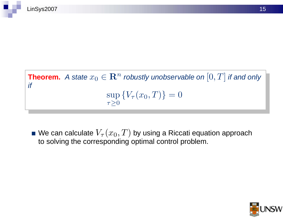

We can calculate  $V_\tau(x_0,T)$  by using a Riccati equation approach to solving the corresponding optimal control problem.

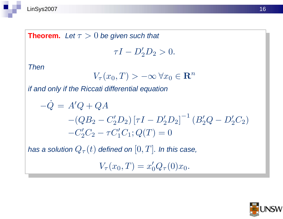

#### **Theorem.** Let  $\tau > 0$  be given such that

 $\tau I - D_2'D_2 > 0.$ 

Then

$$
V_{\tau}(x_0, T) > -\infty \,\forall x_0 \in \mathbf{R}^n
$$

if and only if the Riccati differential equation

$$
-\dot{Q} = A'Q + QA
$$
  
-(*QB*<sub>2</sub> - C'<sub>2</sub>*D*<sub>2</sub>) [ $\tau I - D'_2 D_2$ ]<sup>-1</sup> (B'<sub>2</sub>*Q* - D'<sub>2</sub>*C*<sub>2</sub>)  
-C'<sub>2</sub>*C*<sub>2</sub> -  $\tau C'_1 C_1$ ; *Q*(*T*) = 0

has a solution  $Q_{\tau}(t)$  defined on  $[0,T]$ . In this case,

 $V_{\tau}(x_0, T) = x'_0 Q_{\tau}(0)x_0.$ 

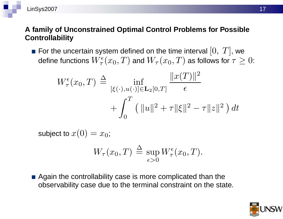#### **A family of Unconstrained Optimal Control Problems for Possible Controllability**

For the uncertain system defined on the time interval  $[0, T]$ , we define functions  $W^{\epsilon}_{\tau}(x_0,T)$  and  $W_{\tau}(x_0,T)$  as follows for  $\tau\geq 0$ :

$$
W_{\tau}^{\epsilon}(x_0, T) \triangleq \inf_{[\xi(\cdot), u(\cdot)] \in \mathbf{L}_2[0, T]} \frac{\|x(T)\|^2}{\epsilon} + \int_0^T \left( \|u\|^2 + \tau \|\xi\|^2 - \tau \|z\|^2 \right) dt
$$

subject to  $x(0) = x_0$ ;

$$
W_{\tau}(x_0, T) \stackrel{\Delta}{=} \sup_{\epsilon > 0} W_{\tau}^{\epsilon}(x_0, T).
$$

Again the controllability case is more complicated than the observability case due to the terminal constraint on the state.

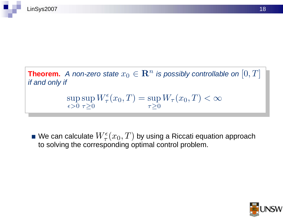**Theorem.** A non-zero state  $x_0 \in \mathbb{R}^n$  is possibly controllable on  $[0, T]$ if and only if sup  $\epsilon\!>\!0$ sup  $\tau \geq 0$  $W^{\epsilon}_{\tau}(x_0,T) = \sup$  $\tau \geq 0$  $W_\tau(x_0,T)<\infty$ 

 $\blacksquare$  We can calculate  $W^{\epsilon}_{\tau}(x_0,T)$  by using a Riccati equation approach to solving the corresponding optimal control problem.

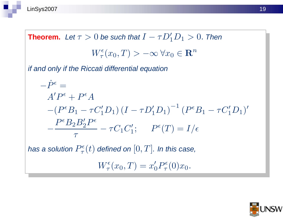LinSys2007 19

**Theorem.** Let  $\tau > 0$  be such that  $I - \tau D_1'D_1 > 0$ . Then  $W^{\epsilon}_{\tau}(x_0,T) > -\infty \,\forall x_0 \in \mathbf{R}^n$ if and only if the Riccati differential equation  $-\dot{P}^{\epsilon} =$  $A'P^{\epsilon} + P^{\epsilon}A$  $-(P^{\epsilon}B_1 - \tau C_1'D_1)(I - \tau D_1'D_1)$ −1  $(P^{\epsilon}B_1 - \tau C_1'D_1)'$ −  $P^{\epsilon}B_2B_2^{\prime}P^{\epsilon}$  $\tau$  $- \tau C_1 C_1'$  $I'_1$ ;  $P^{\epsilon}(T) = I/\epsilon$ has a solution  $P_\tau^\epsilon$  $\mathcal{P}^\epsilon_\tau(t)$  defined on  $[0,T].$  In this case,  $W^{\epsilon}_{\tau}(x_0,T) = x'_0 P^{\epsilon}_{\tau}$  $\sigma_{\tau}^{\epsilon}(0)x_0.$ 

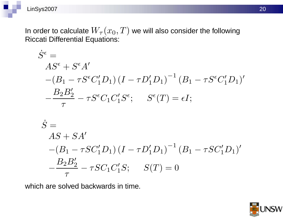

In order to calculate  $W_{\tau}(x_0,T)$  we will also consider the following Riccati Differential Equations:

$$
\dot{S}^{\epsilon} =
$$
\n
$$
AS^{\epsilon} + S^{\epsilon}A'
$$
\n
$$
-(B_1 - \tau S^{\epsilon}C'_1D_1)(I - \tau D'_1D_1)^{-1}(B_1 - \tau S^{\epsilon}C'_1D_1)'
$$
\n
$$
-\frac{B_2B'_2}{\tau} - \tau S^{\epsilon}C_1C'_1S^{\epsilon}; \quad S^{\epsilon}(T) = \epsilon I;
$$

$$
\dot{S} = \frac{AS + SA'}{- (B_1 - \tau SC_1'D_1) (I - \tau D_1'D_1)^{-1} (B_1 - \tau SC_1'D_1)'} - \frac{B_2B_2'}{\tau} - \tau SC_1C_1'S; \quad S(T) = 0
$$

which are solved backwards in time.

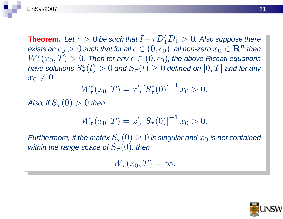**Theorem.** Let  $\tau > 0$  be such that  $I - \tau D_1'D_1 > 0$ . Also suppose there exists an  $\epsilon_0 > 0$  such that for all  $\epsilon \in (0,\epsilon_0)$ , all non-zero  $x_0 \in \mathbb{R}^n$  then  $W^\epsilon_\tau(x_0,T)>0.$  Then for any  $\epsilon\in(0,\epsilon_0)$ , the above Riccati equations have solutions  $S^{\epsilon}_{\tau}$  $C^{\epsilon}_{\tau}(t)>0$  and  $S_{\tau}(t)\geq 0$  defined on  $[0,T]$  and for any  $x_0 \neq 0$ 

$$
W_{\tau}^{\epsilon}(x_0, T) = x_0' \left[ S_{\tau}^{\epsilon}(0) \right]^{-1} x_0 > 0.
$$

Also, if  $S_{\tau}(0) > 0$  then

$$
W_{\tau}(x_0, T) = x'_0 \left[ S_{\tau}(0) \right]^{-1} x_0 > 0.
$$

Furthermore, if the matrix  $S_{\tau}(0) \geq 0$  is singular and  $x_0$  is not contained within the range space of  $S_{\tau}(0)$ , then

$$
W_{\tau}(x_0,T)=\infty.
$$

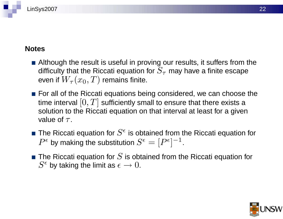

#### **Notes**

- Although the result is useful in proving our results, it suffers from the difficulty that the Riccati equation for  $S_{\tau}$  may have a finite escape even if  $W_{\tau}(x_0,T)$  remains finite.
- **For all of the Riccati equations being considered, we can choose the** time interval  $[0, T]$  sufficiently small to ensure that there exists a solution to the Riccati equation on that interval at least for a given value of  $\tau$ .
- **The Riccati equation for**  $S^{\epsilon}$  **is obtained from the Riccati equation for**  $P^\epsilon$  by making the substitution  $S^\epsilon = [P^\epsilon]^{-1}.$
- **The Riccati equation for S is obtained from the Riccati equation for**  $S^{\epsilon}$  by taking the limit as  $\epsilon \rightarrow 0$ .

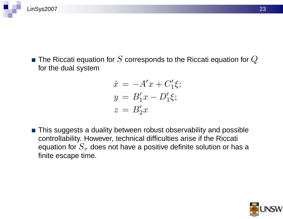

 $\blacksquare$  The Riccati equation for S corresponds to the Riccati equation for  $Q$ for the dual system

$$
\dot{x} = -A'x + C'_1\xi;
$$
  
\n
$$
y = B'_1x - D'_1\xi;
$$
  
\n
$$
z = B'_2x
$$

■ This suggests a duality between robust observability and possible controllability. However, technical difficulties arise if the Riccati equation for  $S_{\tau}$  does not have a positive definite solution or has a finite escape time.

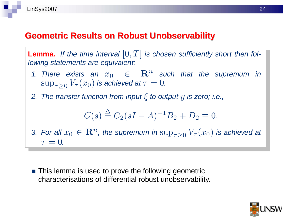### **Geometric Results on Robust Unobservability**

**Lemma.** If the time interval  $[0, T]$  is chosen sufficiently short then following statements are equivalent:

- 1. There exists an  $x_0 \in \mathbb{R}^n$  such that the supremum in  $\sup_{\tau>0} V_{\tau}(x_0)$  is achieved at  $\tau=0$ .
- 2. The transfer function from input  $\xi$  to output  $y$  is zero; i.e.,

$$
G(s) \stackrel{\Delta}{=} C_2(sI - A)^{-1}B_2 + D_2 \equiv 0.
$$

3. For all  $x_0 \in \mathbb{R}^n$ , the supremum in  $\sup_{\tau \geq 0} V_\tau(x_0)$  is achieved at  $\tau = 0$ .

**This lemma is used to prove the following geometric** characterisations of differential robust unobservability.

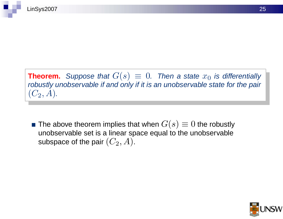**Theorem.** Suppose that  $G(s) \equiv 0$ . Then a state  $x_0$  is differentially robustly unobservable if and only if it is an unobservable state for the pair  $(C_2, A).$ 

■ The above theorem implies that when  $G(s) \equiv 0$  the robustly unobservable set is a linear space equal to the unobservable subspace of the pair  $(C_2, A)$ .

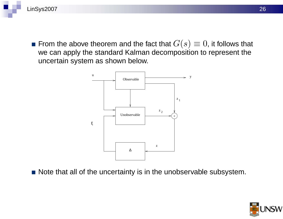

■ From the above theorem and the fact that  $G(s) \equiv 0$ , it follows that we can apply the standard Kalman decomposition to represent the uncertain system as shown below.



Note that all of the uncertainty is in the unobservable subsystem.

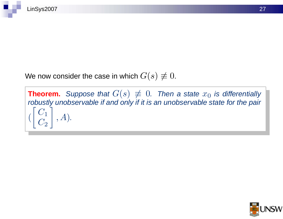We now consider the case in which  $G(s) \not\equiv 0$ .

**Theorem.** Suppose that  $G(s) \neq 0$ . Then a state  $x_0$  is differentially robustly unobservable if and only if it is an unobservable state for the pair  $\Big($  $\big\lceil \, C_1 \,$  $C_{2}$ 1 , A).

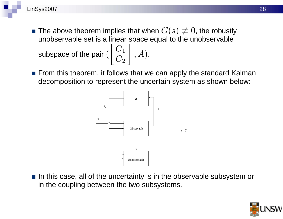

- The above theorem implies that when  $G(s) \not\equiv 0$ , the robustly unobservable set is a linear space equal to the unobservable subspace of the pair (  $\big\lceil \, C_1 \,$  $C_{2}$  $\overline{\phantom{a}}$ , A).
- **From this theorem, it follows that we can apply the standard Kalman** decomposition to represent the uncertain system as shown below:



In this case, all of the uncertainty is in the observable subsystem or in the coupling between the two subsystems.

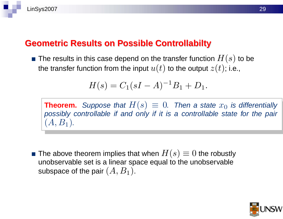### **Geometric Results on Possible Controllabilty**

 $\blacksquare$  The results in this case depend on the transfer function  $H(s)$  to be the transfer function from the input  $u(t)$  to the output  $z(t)$ ; i.e.,

$$
H(s) = C_1(sI - A)^{-1}B_1 + D_1.
$$

**Theorem.** Suppose that  $H(s) \equiv 0$ . Then a state  $x_0$  is differentially possibly controllable if and only if it is a controllable state for the pair  $(A, B_1).$ 

■ The above theorem implies that when  $H(s) \equiv 0$  the robustly unobservable set is a linear space equal to the unobservable subspace of the pair  $(A, B_1)$ .

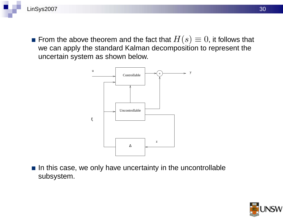

■ From the above theorem and the fact that  $H(s) \equiv 0$ , it follows that we can apply the standard Kalman decomposition to represent the uncertain system as shown below.



 $\blacksquare$  In this case, we only have uncertainty in the uncontrollable subsystem.

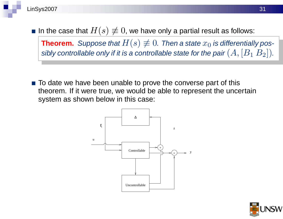

■ In the case that  $H(s) \neq 0$ , we have only a partial result as follows: **Theorem.** Suppose that  $H(s) \neq 0$ . Then a state  $x_0$  is differentially pos-

sibly controllable only if it is a controllable state for the pair  $(A, [B_1 \ B_2])$ .

■ To date we have been unable to prove the converse part of this theorem. If it were true, we would be able to represent the uncertain system as shown below in this case:



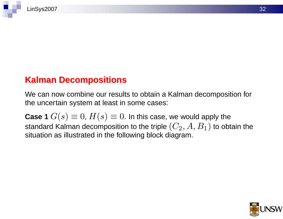# **Kalman Decompositions**

We can now combine our results to obtain a Kalman decomposition for the uncertain system at least in some cases:

**Case 1**  $G(s) \equiv 0$ ,  $H(s) \equiv 0$ . In this case, we would apply the standard Kalman decomposition to the triple  $(C_2, A, B_1)$  to obtain the situation as illustrated in the following block diagram.

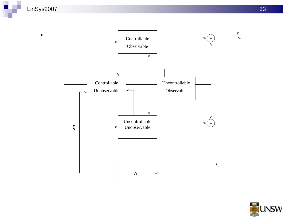

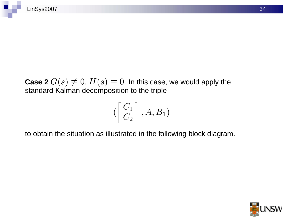**Case 2**  $G(s) \neq 0$ ,  $H(s) \equiv 0$ . In this case, we would apply the standard Kalman decomposition to the triple

$$
(\begin{bmatrix} C_1 \\ C_2 \end{bmatrix}, A, B_1)
$$

to obtain the situation as illustrated in the following block diagram.

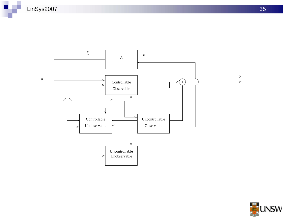



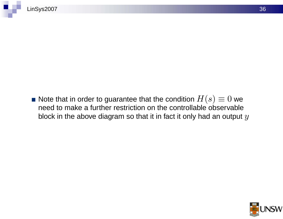Note that in order to guarantee that the condition  $H(s) \equiv 0$  we need to make a further restriction on the controllable observable block in the above diagram so that it in fact it only had an output  $y$ 

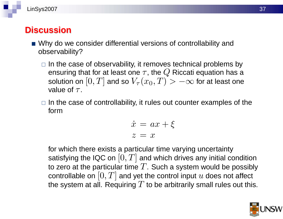# **Discussion**

- Why do we consider differential versions of controllability and observability?
	- $\Box$  In the case of observability, it removes technical problems by ensuring that for at least one  $\tau$ , the  $Q$  Riccati equation has a solution on  $[0, T]$  and so  $V_\tau(x_0, T) > -\infty$  for at least one value of  $\tau$ .
	- $\Box$  In the case of controllability, it rules out counter examples of the form

$$
\begin{array}{rcl}\n\dot{x} &=& ax + \xi \\
z &=& x\n\end{array}
$$

for which there exists a particular time varying uncertainty satisfying the IQC on  $[0, T]$  and which drives any initial condition to zero at the particular time  $T$ . Such a system would be possibly controllable on  $[0, T]$  and yet the control input  $u$  does not affect the system at all. Requiring  $T$  to be arbitrarily small rules out this.

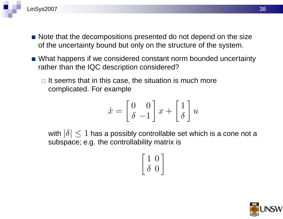

- Note that the decompositions presented do not depend on the size of the uncertainty bound but only on the structure of the system.
- What happens if we considered constant norm bounded uncertainty rather than the IQC description considered?
	- $\Box$  It seems that in this case, the situation is much more complicated. For example

$$
\dot{x} = \begin{bmatrix} 0 & 0 \\ \delta & -1 \end{bmatrix} x + \begin{bmatrix} 1 \\ \delta \end{bmatrix} u
$$

with  $|\delta| \leq 1$  has a possibly controllable set which is a cone not a subspace; e.g. the controllability matrix is

$$
\left[\begin{array}{cc} 1 & 0 \\ \delta & 0 \end{array}\right]
$$